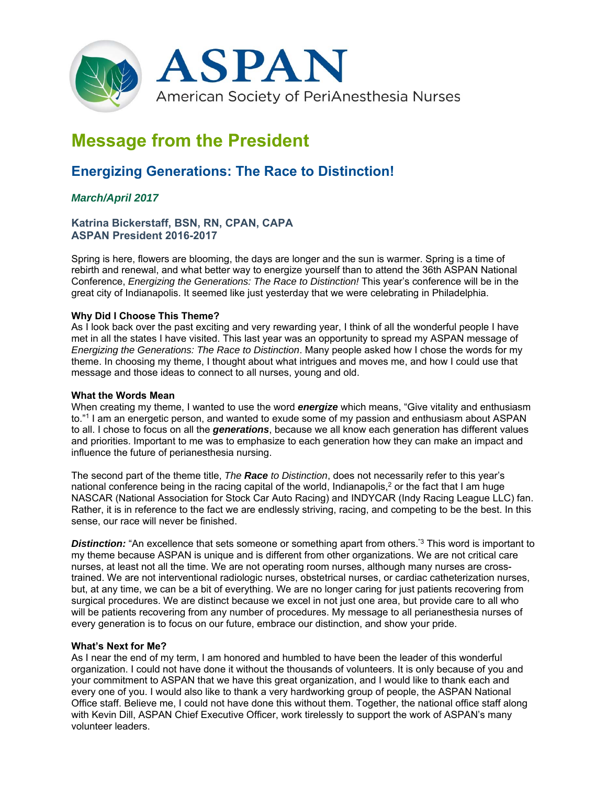

# **Message from the President**

## **Energizing Generations: The Race to Distinction!**

### *March/April 2017*

**Katrina Bickerstaff, BSN, RN, CPAN, CAPA ASPAN President 2016-2017** 

Spring is here, flowers are blooming, the days are longer and the sun is warmer. Spring is a time of rebirth and renewal, and what better way to energize yourself than to attend the 36th ASPAN National Conference, *Energizing the Generations: The Race to Distinction!* This year's conference will be in the great city of Indianapolis. It seemed like just yesterday that we were celebrating in Philadelphia.

#### **Why Did I Choose This Theme?**

As I look back over the past exciting and very rewarding year, I think of all the wonderful people I have met in all the states I have visited. This last year was an opportunity to spread my ASPAN message of *Energizing the Generations: The Race to Distinction*. Many people asked how I chose the words for my theme. In choosing my theme, I thought about what intrigues and moves me, and how I could use that message and those ideas to connect to all nurses, young and old.

#### **What the Words Mean**

When creating my theme, I wanted to use the word *energize* which means, "Give vitality and enthusiasm to."1 I am an energetic person, and wanted to exude some of my passion and enthusiasm about ASPAN to all. I chose to focus on all the *generations*, because we all know each generation has different values and priorities. Important to me was to emphasize to each generation how they can make an impact and influence the future of perianesthesia nursing.

The second part of the theme title, *The Race to Distinction*, does not necessarily refer to this year's national conference being in the racing capital of the world, Indianapolis,<sup>2</sup> or the fact that I am huge NASCAR (National Association for Stock Car Auto Racing) and INDYCAR (Indy Racing League LLC) fan. Rather, it is in reference to the fact we are endlessly striving, racing, and competing to be the best. In this sense, our race will never be finished.

**Distinction:** "An excellence that sets someone or something apart from others."<sup>3</sup> This word is important to my theme because ASPAN is unique and is different from other organizations. We are not critical care nurses, at least not all the time. We are not operating room nurses, although many nurses are crosstrained. We are not interventional radiologic nurses, obstetrical nurses, or cardiac catheterization nurses, but, at any time, we can be a bit of everything. We are no longer caring for just patients recovering from surgical procedures. We are distinct because we excel in not just one area, but provide care to all who will be patients recovering from any number of procedures. My message to all perianesthesia nurses of every generation is to focus on our future, embrace our distinction, and show your pride.

#### **What's Next for Me?**

As I near the end of my term, I am honored and humbled to have been the leader of this wonderful organization. I could not have done it without the thousands of volunteers. It is only because of you and your commitment to ASPAN that we have this great organization, and I would like to thank each and every one of you. I would also like to thank a very hardworking group of people, the ASPAN National Office staff. Believe me, I could not have done this without them. Together, the national office staff along with Kevin Dill, ASPAN Chief Executive Officer, work tirelessly to support the work of ASPAN's many volunteer leaders.